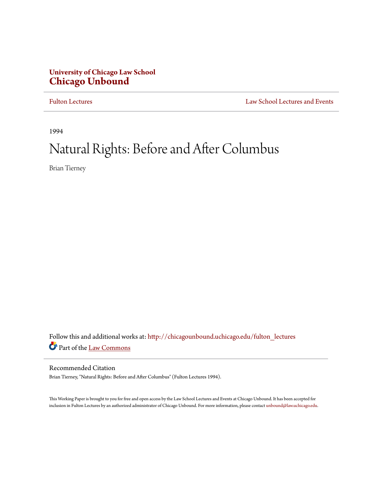## **University of Chicago Law School [Chicago Unbound](http://chicagounbound.uchicago.edu?utm_source=chicagounbound.uchicago.edu%2Ffulton_lectures%2F11&utm_medium=PDF&utm_campaign=PDFCoverPages)**

[Fulton Lectures](http://chicagounbound.uchicago.edu/fulton_lectures?utm_source=chicagounbound.uchicago.edu%2Ffulton_lectures%2F11&utm_medium=PDF&utm_campaign=PDFCoverPages) [Law School Lectures and Events](http://chicagounbound.uchicago.edu/law_school_lectures_and_events?utm_source=chicagounbound.uchicago.edu%2Ffulton_lectures%2F11&utm_medium=PDF&utm_campaign=PDFCoverPages)

1994

# Natural Rights: Before and After Columbus

Brian Tierney

Follow this and additional works at: [http://chicagounbound.uchicago.edu/fulton\\_lectures](http://chicagounbound.uchicago.edu/fulton_lectures?utm_source=chicagounbound.uchicago.edu%2Ffulton_lectures%2F11&utm_medium=PDF&utm_campaign=PDFCoverPages) Part of the [Law Commons](http://network.bepress.com/hgg/discipline/578?utm_source=chicagounbound.uchicago.edu%2Ffulton_lectures%2F11&utm_medium=PDF&utm_campaign=PDFCoverPages)

### Recommended Citation

Brian Tierney, "Natural Rights: Before and After Columbus" (Fulton Lectures 1994).

This Working Paper is brought to you for free and open access by the Law School Lectures and Events at Chicago Unbound. It has been accepted for inclusion in Fulton Lectures by an authorized administrator of Chicago Unbound. For more information, please contact [unbound@law.uchicago.edu](mailto:unbound@law.uchicago.edu).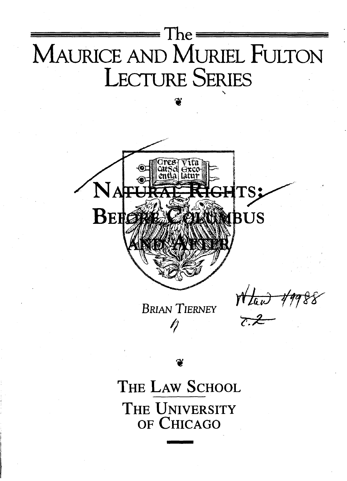

# THE LAW SCHOOL THE UNIVERSITY OF CHICAGO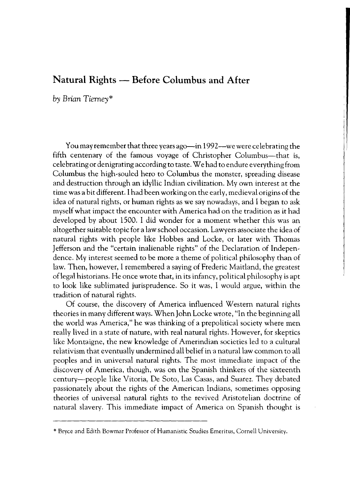### **Natural Rights - Before Columbus and After**

*by Brian Tierney\** 

You may remember that three years ago-in 1992--we were celebrating the fifth centenary of the famous voyage of Christopher Columbus—that is, celebrating or denigrating according to taste. We had to endure everything from Columbus the high-souled hero to Columbus the monster, spreading disease and destruction through an idyllic Indian civilization. My own interest at the time was a bit different. I had been working on the early, medieval origins of the idea of natural rights, or human rights as we say nowadays, and I began to ask myself what impact the encounter with America had on the tradition as it had developed by about 1500. I did wonder for a moment whether this was an altogether suitable topic for a law school occasion. Lawyers associate the idea of natural rights with people like Hobbes and Locke, or later with Thomas Jefferson and the "certain inalienable rights" of the Declaration of Independence. My interest seemed to be more a theme of political philosophy than of law. Then, however, I remembered a saying of Frederic Maitland, the greatest oflegal historians. He once wrote that, in its infancy, political philosophy is apt to look like sublimated jurisprudence. So it was, I would argue, within the tradition of natural rights.

Of course, the discovery of America influenced Western natural rights theories in many different ways. When John Locke wrote, "In the beginning all the world was America," he was thinking of a prepolitical society where men really lived in a state of nature, with real natural rights. However, for skeptics like Montaigne, the new knowledge of Amerindian societies led to a cultural relativism that eventually undermined all belief in a natural law common to all peoples and in universal natural rights. The most immediate impact of the discovery of America, though, was on the Spanish thinkers of the sixteenth century-people like Vitoria, De Soto, Las Casas, and Suarez. They debated passionately about the rights of the American Indians, sometimes opposing theories of universal natural rights to the revived Aristotelian doctrine of natural slavery. This immediate impact of America on Spanish thought is

<sup>\*</sup> Bryce and Edith Bowmar Professor of Humanistic Studies Emeritus, Cornell University.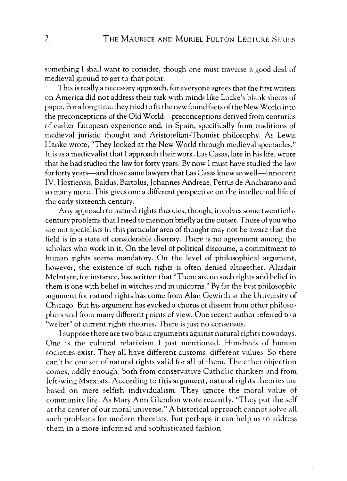something I shall want to consider, though one must traverse a good deal of medieval ground to get to that point.

This is really a necessary approach, for everyone agrees that the first writers on America did not address their task with minds like Locke's blank sheets of paper. For a long time they tried to fit the new found facts of the New World into the preconceptions of the Old World-preconceptions derived from centuries of earlier European experience and, in Spain, specifically from traditions of medieval juristic thought and Aristotelian-Thomist philosophy. As Lewis Hanke wrote, "They looked at the New World through medieval spectacles." It is as a medievalist that I apptoach their work. Las Casas, late in his life, wrote that he had studied the law for forty years. By now I must have studied the law for forty years—and those same lawyers that Las Casas knew so well—Innocent IV, Hostiensis, Baldus, Bartolus, Johannes Andreae, Petrus de Ancharano and so many more. This gives one a different perspective on the intellectual life of the early sixteenth century.

Any approach to natural rights theories, though, involves some twentiethcentury problems that I need to mention briefly at the outset. Those of you who are not specialists in this particular area of thought may not be aware that the field is in a state of considerable disarray. There is no agreement among the scholars who work in it. On the level of political discourse, a commitment to human rights seems mandatory. On the level of philosophical argument, however, the existence of such rights is often denied altogether. Alasdair McIntyre, for instance, has written that "There are no such rights and belief in them is one with belief in witches and in unicorns." By far the best philosophic argument for natural rights has come from Alan Gewirth at the University of Chicago. But his argument has evoked a chorus of dissent from other philosophers and from many different points of view. One recent author referred to a "welter" of current rights theories. There is just no consensus.

I suppose there are two basic arguments against natural rights nowadays. One is the cultural relativism I just mentioned. Hundreds of human societies exist. They all have different customs, different values. So there can't be one set of natural rights valid for all of them. The other objection comes, oddly enough, both from conservative Catholic thinkers and from left-wing Marxists. According to this argument, natural rights theories are based on mere selfish individualism. They ignore the moral value of community life. As Mary Ann Glendon wrote recently, "They put the self at the center of our moral universe." A historical approach cannot solve all such problems for modern theorists. But perhaps it can help us to address them in a more informed and sophisticated fashion.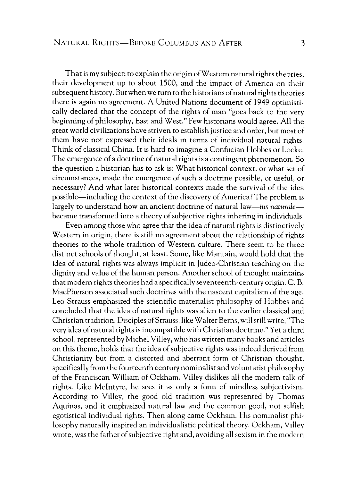That is my subject: to explain the origin of Western natural rights theories, their development up to about 1500, and the impact of America on their subsequent history. But when we turn to the historians of natural rights theories there is again no agreement. A United Nations document of 1949 optimistically declared that the concept of the rights of man "goes back to the very beginning of philosophy, East and West." Few historians would agree. All the great world civilizations have striven to establish justice and order, but most of them have not expressed their ideals in terms of individual natural rights. Think of classical China. It is hard to imagine a Confucian Hobbes or Locke. The emergence of a doctrine of natural rights is a contingent phenomenon. So the question a historian has to ask is: What historical context, or what set of circumstances, made the emergence of such a doctrine possible, or useful, or necessary? And what later historical contexts made the survival of the idea possible-including the context of the discovery of America? The problem is largely to understand how an ancient doctrine of natural law—ius naturale became transformed into a theory of subjective rights inhering in individuals.

Even among those who agree that the idea of natural rights is distinctively Western in origin, there is still no agreement about the relationship of rights theories to the whole tradition of Western culture. There seem to be three distinct schools of thought, at least. Some, like Maritain, would hold that the idea of natural rights was always implicit in Judeo-Christian teaching on the dignity and value of the human person. Another school of thought maintains that modern rights theories had a specifically seventeenth-century origin. C. B. MacPherson associated such doctrines with the nascent capitalism of the age. Leo Strauss emphasized the scientific materialist philosophy of Hobbes and concluded that the idea of natural rights was alien to the earlier classical and Christian tradition. Disciples of Strauss, like Walter Berns, will still write, "The very idea of natural rights is incompatible with Christian doctrine." Yet a third school, represented by Michel Villey, who has written many books and articles on this theme, holds that the idea of subjective rights was indeed derived from Christianity but from a distorted and aberrant form of Christian thought, specifically from the fourteenth century nominalist and voluntarist philosophy of the Franciscan William of Ockham. Villey dislikes all the modern talk of rights. Like Mcintyre, he sees it as only a form of mindless subjectivism. According to Villey, the good old tradition was represented by Thomas Aquinas, and it emphasized natural law and the common good, not selfish egotistical individual rights. Then along came Ockham. His nominalist philosophy naturally inspired an individualistic political theory. Ockham, Villey wrote, was the father of subjective right and, avoiding all sexism in the modern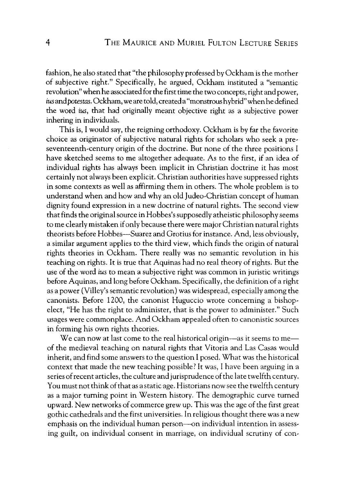fashion, he also stated that "the philosophy professed by Ockham is the mother of subjective right." Specifically, he argued, Ockham instituted a "semantic revolution" when he associated for the first time the two concepts, right and power, ius and *potestas.* Ockham, we are told, created a "monstrous hybrid" when he defined the word ius, that had originally meant objective right as a subjective power inhering in individuals.

This is, I would say, the reigning orthodoxy. Ockham is by far the favorite choice as originator of subjective natural rights for scholars who seek a preseventeenth-century origin of the doctrine. But none of the three positions I have sketched seems to me altogether adequate. As to the first, if an idea of individual rights has always been implicit in Christian doctrine it has most certainly not always been explicit. Christian authorities have suppressed rights in some contexts as well as affirming them in others. The whole problem is to understand when and how and why an old Judeo-Christian concept of human dignity found expression in a new doctrine of natural rights. The second view that finds the original source in Hobbes's supposedly atheistic philosophy seems to me clearly mistaken if only because there were major Christian natural rights theorists before Hobbes-Suarez and Grotius for instance. And, less obviously, a similar argument applies to the third view, which finds the origin of natural rights theories in Ockham. There really was no semantic revolution in his teaching on rights. It is true that Aquinas had no real theory of rights. But the use of the word *ius* to mean a subjective right was common in juristic writings before Aquinas, and long before Ockham. Specifically, the definition of a right as a power (Villey's semantic revolution) was widespread, especially among the canonists. Before 1200, the canonist Huguccio wrote concerning a bishopelect, "He has the right to administer, that is the power to administer." Such usages were commonplace. And Ockham appealed often to canonistic sources in forming his own rights theories.

We can now at last come to the real historical origin—as it seems to me of the medieval teaching on natural rights that Vitoria and Las Casas would inherit, and find some answers to the question I posed. What was the historical context that made the new teaching possible? It was, I have been arguing in a series of recent articles, the culture and jurisprudence of the late twelfth century. You must not think of that as astatic age. Historians now see the twelfth century as a major turning point in Western history. The demographic curve turned upward. New networks of commerce grew up. This was the age of the first great gothic cathedrals and the first universities. In religious thought there was a new emphasis on the individual human person—on individual intention in assessing guilt, on individual consent in marriage, on individual scrutiny of con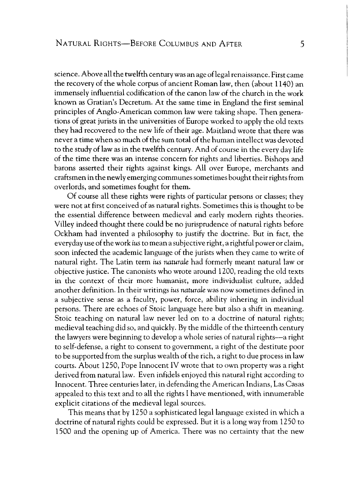science. Above all the twelfth century was an age oflegal renaissance. First came the recovery of the whole corpus of ancient Roman law, then (about 1140) an immensely influential codification of the canon law of the church in the work known as Gratian's Decretum. At the same time in England the first seminal principles of Anglo-American common law were taking shape. Then generations of great jurists in the universities of Europe worked to apply the old texts they had recovered to the new life of their age. Maitland wrote that there was never a time when so much of the sum total of the human intellect was devoted to the study of law as in the twelfth century. And of course in the every day life of the time there was an intense concern for rights and liberties. Bishops and barons asserted their rights against kings. All over Europe, merchants and craftsmen in the newly emerging communes sometimes bought their rights from overlords, and sometimes fought for them.

Of course all these rights were rights of particular persons or classes; they were not at first conceived of as natural rights. Sometimes this is thought to be the essential difference between medieval and early modern rights theories. Villey indeed thought there could be no jurisprudence of natural rights before Ockham had invented a philosophy to justify the doctrine. But in fact, the everyday use of the work *ius* to mean a subjective right, a rightful power or claim, soon infected the academic language of the jurists when they came to write of natural right. The Latin term *ius naturale* had formerly meant natural law or objective justice. The canonists who wrote around 1200, reading the old texts in the context of their more humanist, more individualist culture, added another definition. In their writings *ius naturale* was now sometimes defined in a subjective sense as a faculty, power, force, ability inhering in individual persons. There are echoes of Stoic language here but also a shift in meaning. Stoic teaching on natural law never led on to a doctrine of natural rights; medieval teaching did so, and quickly. By the middle of the thirteenth century the lawyers were beginning to develop a whole series of natural rights—a right to self-defense, a right to consent to government, a right of the destitute poor to be supported from the surplus wealth of the rich, a right to due process in law courts. About 1250, Pope Innocent IV wrote that to own property was a right derived from natural law. Even infidels enjoyed this natural right according to Innocent. Three centuries later, in defending the American Indians, Las Casas appealed to this text and to all the rights I have mentioned, with innumerable explicit citations of the medieval legal sources.

This means that by 1250 a sophisticated legal language existed in which a doctrine of natural rights could be expressed. But it is a long way from 1250 to 1500 and the opening up of America. There was no certainty that the new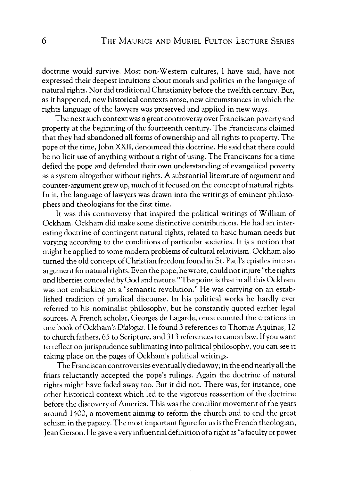doctrine would survive. Most non-Western cultures, 1 have said, have not expressed their deepest intuitions about morals and politics in the language of natural rights. Nor did traditional Christianity before the twelfth century. But, as it happened, new historical contexts arose, new circumstances in which the rights language of the lawyers was preserved and applied in new ways.

The next such context was a great controversy over Franciscan poverty and property at the beginning of the fourteenth century. The Franciscans claimed that they had abandoned all forms of ownership and all rights to property. The pope of the time, John XXII, denounced this doctrine. He said that there could be no licit use of anything without a right of using. The Franciscans for a time defied the pope and defended their own understanding of evangelical poverty as a system altogether without rights. A substantial literature of argument and counter-argument grew up, much of it focused on the concept of natural rights. In it, the language of lawyers was drawn into the writings of eminent philosophers and theologians for the first time.

It was this controversy that inspired the political writings of William of Ockham. Ockham did make some distinctive contributions. He had an interesting doctrine of contingent natural rights, related to basic human needs but varying according to the conditions of particular societies. It is a notion that might be applied to some modern problems of cultural relativism. Ockham also turned the old concept of Christian freedom found in St. Paul's epistles into an argument for natural rights. Even the pope, he wrote, could not injure "the rights and liberties conceded by God and nature."The point is that in all this Ockham was not embarking on a "semantic revolution." He was carrying on an established tradition of juridical discourse. In his political works he hardly ever referred to his nominalist philosophy, but he constantly quoted earlier legal sources. A French scholar, Georges de Lagarde, once counted the citations in one book of Ockham's *Dialogus.* He found 3 references to Thomas Aquinas, 12 to church fathers, 65 to Scripture, and 313 references to canon law. If you want to reflect on jurisprudence sublimating into political philosophy, you can see it taking place on the pages of Ockham's political writings.

The Franciscan controversies eventually died away; in the end nearly all the friars reluctantly accepted the pope's rulings. Again the doctrine of natural rights might have faded away too. But it did not. There was, for instance, one other historical context which led to the vigorous reassertion of the doctrine before the discovery of America. This was the conciliar movement of the years around 1400, a movement aiming to reform the church and to end the great schism in the papacy. The most important figure for us is the French theologian, Jean Gerson. He gave a very influential definition of a right as "a faculty or power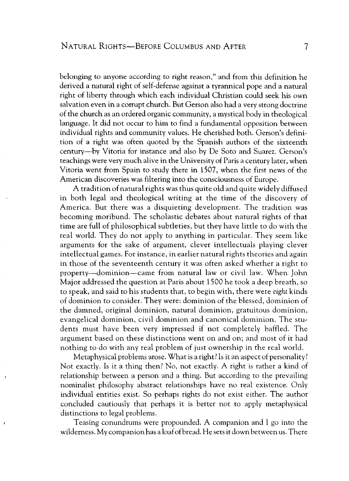belonging to anyone according to right reason," and from this definition he derived a natural right of self-defense against a tyrannical pope and a natural right of liberty through which each individual Christian could seek his own salvation even in a corrupt church. But Gerson also had a very strong doctrine of the church as an ordered organic community, a mystical body in theological language. It did not occur to him to find a fundamental opposition between individual rights and community values. He cherished both. Gerson's definition of a right was often quoted by the Spanish authors of the sixteenth century-by Vitoria for instance and also by De Soto and Suarez. Gerson's teachings were very much alive in the University of Paris a century later, when Vitoria went from Spain to study there in 1507, when the first news of the American discoveries was filtering into the consciousness of Europe.

A tradition of natural rights was thus quite old and quite widely diffused in both legal and theological writing at the time of the discovery of America. But there was a disquieting development. The tradition was becoming moribund. The scholastic debates about natural rights of that time are full of philosophical subtleties, but they have little to do with the real world. They do not apply to anything in particular. They seem like arguments for the sake of argument, clever intellectuals playing clever intellectual games. For instance, in earlier natural rights theories and again in those of the seventeenth century it was often asked whether a right to property-dominion-came from natural law or civil law. When John Major addressed the question at Paris about 1500 he took a deep breath, so to speak, and said to his students that, to begin with, there were *eight* kinds of dominion to consider. They were: dominion of the blessed, dominion of the damned, original dominion, natural dominion, gratuitous dominion, evangelical dominion, civil dominion and canonical dominion. The students must have been very impressed if not completely baffled. The argument based on these distinctions went on and on; and most of it had nothing to do with any real problem of just ownership in the real world.

Metaphysical problems arose. What is a right? Is it an aspect of personality? Not exactly. Is it a thing then? No, not exactly. A right is rather a kind of relationship between a person and a thing. But according to the prevailing nominalist philosophy abstract relationships have no real existence. Only individual entities exist. So perhaps rights do not exist either. The author concluded cautiously that perhaps it is better not to apply metaphysical distinctions to legal problems.

Teasing conundrums were propounded. A companion and I go into the wilderness. My companion has a loaf of bread. He sets it down between us. There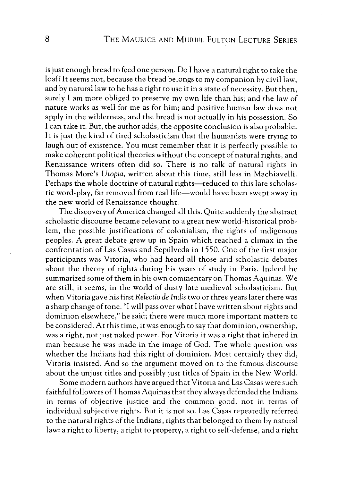is just enough bread to feed one person. Do I have a natural right to take the loaf? It seems not, because the bread belongs to my companion by civil law, and by natural law to he has a right to use it in a state of necessity. But then, surely I am more obliged to preserve my own life than his; and the law of nature works as well for me as for him; and positive human law does not apply in the wilderness, and the bread is not actually in his possession. So I can take it. But, the author adds, the opposite conclusion is also probable. It is just the kind of tired scholasticism that the humanists were trying to laugh out of existence. You must remember that it is perfectly possible to make coherent political theories without the concept of natural rights, and Renaissance writers often did so. There is no talk of natural rights in Thomas More's *Utopia,* written about this time, still less in Machiavelli. Perhaps the whole doctrine of natural rights-reduced to this late scholastic word-play, far removed from real life-would have been swept away in the new world of Renaissance thought.

The discovery of America changed all this. Quite suddenly the abstract scholastic discourse became relevant to a great new world-historical problem, the possible justifications of colonialism, the rights of indigenous peoples. A great debate grew up in Spain which reached a climax in the confrontation of Las Casas and Sepulveda in 1550. One of the first major participants was Vitoria, who had heard all those arid scholastic debates about the theory of rights during his years of study in Paris. Indeed he summarized some of them in his own commentary on Thomas Aquinas. We are still, it seems, in the world of dusty late medieval scholasticism. But when Vitoria gave his first Relectio de Indis two or three years later there was a sharp change of tone. "I will pass over what I have written about rights and dominion elsewhere," he said; there were much more important matters to be considered. At this time, it was enough to say that dominion, ownership, was a right, not just naked power. For Vitoria it was a right that inhered in man because he was made in the image of God. The whole question was whether the Indians had this right of dominion. Most certainly they did, Vitoria insisted. And so the argument moved on to the famous discourse about the unjust titles and possibly just titles of Spain in the New World.

Some modern authors have argued that Vitoria and Las Casas were such faithful followers of Thomas Aquinas that they always defended the Indians in terms of objective justice and the common good, not in terms of individual subjective rights. But it is not so. Las Casas repeatedly referred to the natural rights of the Indians, rights that belonged to them by natural law: a right to liberty, a right to property, a right to self-defense, and a right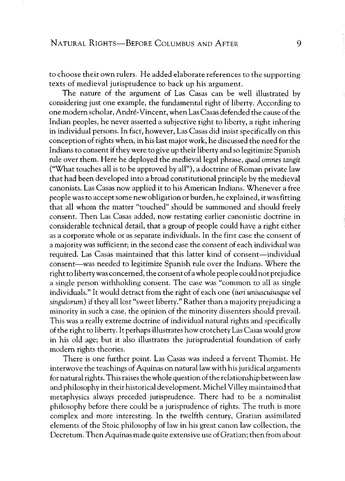to choose their own rulers. He added elaborate references to the supporting texts of medieval jurisprudence to back up his argument.

The nature of the argument of Las Casas can be well illustrated by considering just one example, the fundamental right of liberty. According to one modern scholar, Andre-Vincent, when Las Casas defended the cause of the Indian peoples, he never asserted a subjective right to liberty, a right inhering in individual persons. In fact, however, Las Casas did insist specifically on this conception of rights when, in his last major work, he discussed the need for the Indians to consent if they were to give up their liberty and so legitimize Spanish rule over them. Here he deployed the medieval legal phrase, *quod omnes tangit*  ("What touches all is to be approved by all"), a doctrine of Roman private law that had been developed into a broad constitutional principle by the medieval canonists. Las Casas now applied it to his American Indians. Whenever a free people was to accept some new obligation or burden, he explained, it was fitting that all whom the matter "touched" should be summoned and should freely consent. Then Las Casas added, now restating earlier canonistic doctrine in considerable technical detail, that a group of people could have a right either as a corporate whole or as separate individuals. In the first case the consent of a majority was sufficient; in the second case the consent of each individual was required. Las Casas maintained that this latter kind of consent-individual consent-was needed to legitimize Spanish rule over the Indians. Where the right to liberty was concerned, the consent of a whole people could not prejudice a single person withholding consent. The case was "common to all as single individuals." It would detract from the right of each one *(iuri uniuscuiusque vel singulorum)* if they all lost "sweet liberty." Rather than a majority prejudicing a minority in such a case, the opinion of the minority dissenters should prevail. This was a really extreme doctrine of individual natural rights and specifically of the right to liberty. It perhaps illustrates how crotchety Las Casas would grow in his old age; but it also illustrates the jurisprudential foundation of early modern rights theories.

There is one further point. Las Casas was indeed a fervent Thomist. He interwove the teachings of Aquinas on natural law with his juridical arguments for natural rights. This raises the whole question of the relationship between law and philosophy in their historical development. Michel Villey maintained that metaphysics always preceded jurisprudence. There had to be a nominalist philosophy before there could be a jurisprudence of rights. The truth is more complex and more interesting. In the twelfth century, Gratian assimilated elements of the Stoic philosophy of law in his great canon law collection, the Decretum. Then Aquinas made quite extensive use of Gratian; then from about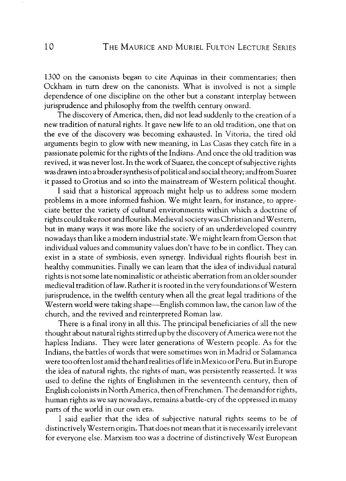1300 on the canonists began to cite Aquinas in their commentaries; then Ockham in turn drew on the canonists. What is involved is not a simple dependence of one discipline on the other but a constant interplay between jurisprudence and philosophy from the twelfth century onward.

The discovery of America, then, did not lead suddenly to the creation of a new tradition of natural rights. It gave new life to an old tradition, one that on the eve of the discovery was becoming exhausted. In Vitoria, the tired old arguments begin to glow with new meaning, in Las Casas they catch fire in a passionate polemic for the rights of the Indians. And once the old tradition was revived, it was never lost. In the work of Suarez, the concept of subjective rights was drawn into a broader synthesis of political and social theory; and from Suarez it passed to Grotius and so into the mainstream of Western political thought.

I said that a historical approach might help us to address some modern problems in a more informed fashion. We might learn, for instance, to appreciate better the variety of cultural environments within which a doctrine of rights could take root and flourish. Medieval society was Christian and Western, but in many ways it was more like the society of an underdeveloped country nowadays than like a modern industrial state. We might learn from Gerson that individual values and community values don't have to be in conflict. They can exist in a state of symbiosis, even synergy. Individual rights flourish best in healthy communities. Finally we can learn that the idea of individual natural rights is not some late nominalistic or atheistic aberration from an older sounder medieval tradition oflaw. Rather it is rooted in the very foundations of Western jurisprudence, in the twelfth century when all the great legal traditions of the Western world were taking shape—English common law, the canon law of the church, and the revived and reinterpreted Roman law.

There is a final irony in all this. The principal beneficiaries of all the new thought about natural rights stirred up by the discovery of America were not the hapless Indians. They were later generations of Western people. As for the Indians, the battles of words that were sometimes won in Madrid or Salamanca were too often lost amid the hard realities of life in Mexico or Peru. But in Europe the idea of natural rights, the rights of man, was persistently reasserted. It was used to define the rights of Englishmen in the seventeenth century, then of English colonists in North America, then of Frenchmen. The demand for rights, human rights as we say nowadays, remains a battle-cry of the oppressed in many parts of the world in our own era.

I said earlier that the idea of subjective natural rights seems to be of distinctively Western origin. That does not mean that it is necessarily irrelevant for everyone else. Marxism too was a doctrine of distinctively West European